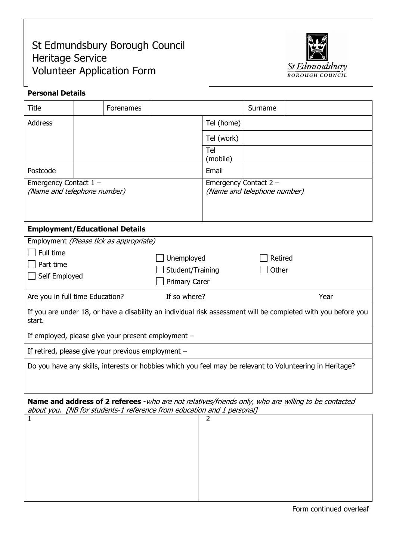# Volunteer Application Form St Edmundsbury Borough Council Heritage Service



## Personal Details

| Title                                                  |  | <b>Forenames</b> |                                                      |                 | Surname |  |
|--------------------------------------------------------|--|------------------|------------------------------------------------------|-----------------|---------|--|
| <b>Address</b>                                         |  |                  |                                                      | Tel (home)      |         |  |
|                                                        |  |                  |                                                      | Tel (work)      |         |  |
|                                                        |  |                  |                                                      | Tel<br>(mobile) |         |  |
| Postcode                                               |  |                  |                                                      | Email           |         |  |
| Emergency Contact $1 -$<br>(Name and telephone number) |  |                  | Emergency Contact 2 -<br>(Name and telephone number) |                 |         |  |

# Employment/Educational Details

| Employment (Please tick as appropriate)                                                                                 |                                                        |                  |  |  |  |  |
|-------------------------------------------------------------------------------------------------------------------------|--------------------------------------------------------|------------------|--|--|--|--|
| Full time<br>Part time<br>Self Employed                                                                                 | Unemployed<br>Student/Training<br><b>Primary Carer</b> | Retired<br>Other |  |  |  |  |
| Are you in full time Education?                                                                                         | If so where?                                           | Year             |  |  |  |  |
| If you are under 18, or have a disability an individual risk assessment will be completed with you before you<br>start. |                                                        |                  |  |  |  |  |
| If employed, please give your present employment $-$                                                                    |                                                        |                  |  |  |  |  |
| If retired, please give your previous employment $-$                                                                    |                                                        |                  |  |  |  |  |
| Do you have any skills, interests or hobbies which you feel may be relevant to Volunteering in Heritage?                |                                                        |                  |  |  |  |  |

Name and address of 2 referees - who are not relatives/friends only, who are willing to be contacted about you. [NB for students-1 reference from education and 1 personal]

| ∍ |  |
|---|--|
|   |  |
|   |  |
|   |  |
|   |  |
|   |  |
|   |  |

Form continued overleaf